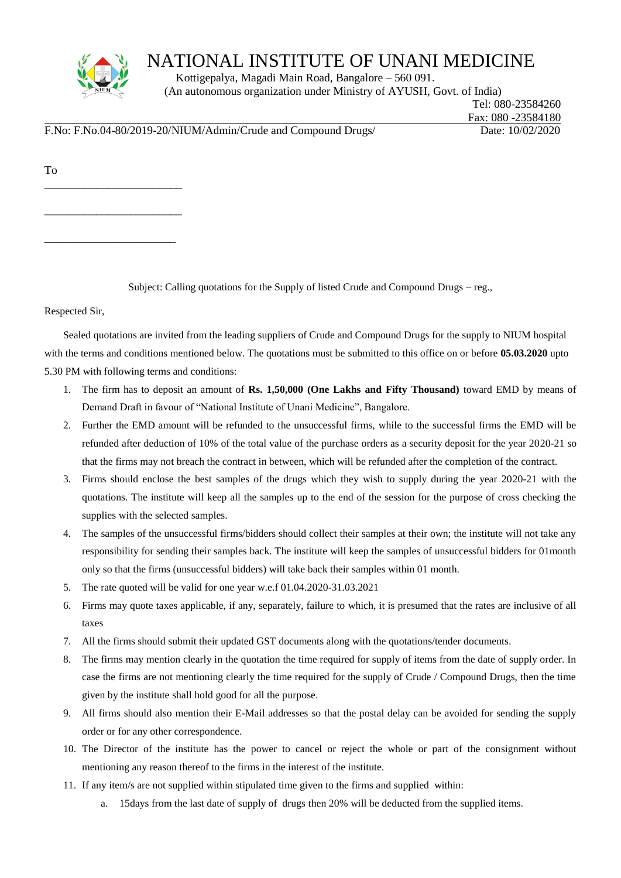

\_\_\_\_\_\_\_\_\_\_\_\_\_\_\_\_\_\_\_\_\_\_\_\_

\_\_\_\_\_\_\_\_\_\_\_\_\_\_\_\_\_\_\_\_\_

## NATIONAL INSTITUTE OF UNANI MEDICINE

 Kottigepalya, Magadi Main Road, Bangalore – 560 091. (An autonomous organization under Ministry of AYUSH, Govt. of India)

 Tel: 080-23584260 Fax: 080 -23584180

F.No: F.No.04-80/2019-20/NIUM/Admin/Crude and Compound Drugs/ Date: 10/02/2020

To \_\_\_\_\_\_\_\_\_\_\_\_\_\_\_\_\_\_\_\_\_\_\_\_

Subject: Calling quotations for the Supply of listed Crude and Compound Drugs – reg.,

Respected Sir,

Sealed quotations are invited from the leading suppliers of Crude and Compound Drugs for the supply to NIUM hospital with the terms and conditions mentioned below. The quotations must be submitted to this office on or before **05.03.2020** upto 5.30 PM with following terms and conditions:

- 1. The firm has to deposit an amount of **Rs. 1,50,000 (One Lakhs and Fifty Thousand)** toward EMD by means of Demand Draft in favour of "National Institute of Unani Medicine", Bangalore.
- 2. Further the EMD amount will be refunded to the unsuccessful firms, while to the successful firms the EMD will be refunded after deduction of 10% of the total value of the purchase orders as a security deposit for the year 2020-21 so that the firms may not breach the contract in between, which will be refunded after the completion of the contract.
- 3. Firms should enclose the best samples of the drugs which they wish to supply during the year 2020-21 with the quotations. The institute will keep all the samples up to the end of the session for the purpose of cross checking the supplies with the selected samples.
- 4. The samples of the unsuccessful firms/bidders should collect their samples at their own; the institute will not take any responsibility for sending their samples back. The institute will keep the samples of unsuccessful bidders for 01month only so that the firms (unsuccessful bidders) will take back their samples within 01 month.
- 5. The rate quoted will be valid for one year w.e.f 01.04.2020-31.03.2021
- 6. Firms may quote taxes applicable, if any, separately, failure to which, it is presumed that the rates are inclusive of all taxes
- 7. All the firms should submit their updated GST documents along with the quotations/tender documents.
- 8. The firms may mention clearly in the quotation the time required for supply of items from the date of supply order. In case the firms are not mentioning clearly the time required for the supply of Crude / Compound Drugs, then the time given by the institute shall hold good for all the purpose.
- 9. All firms should also mention their E-Mail addresses so that the postal delay can be avoided for sending the supply order or for any other correspondence.
- 10. The Director of the institute has the power to cancel or reject the whole or part of the consignment without mentioning any reason thereof to the firms in the interest of the institute.
- 11. If any item/s are not supplied within stipulated time given to the firms and supplied within:
	- a. 15days from the last date of supply of drugs then 20% will be deducted from the supplied items.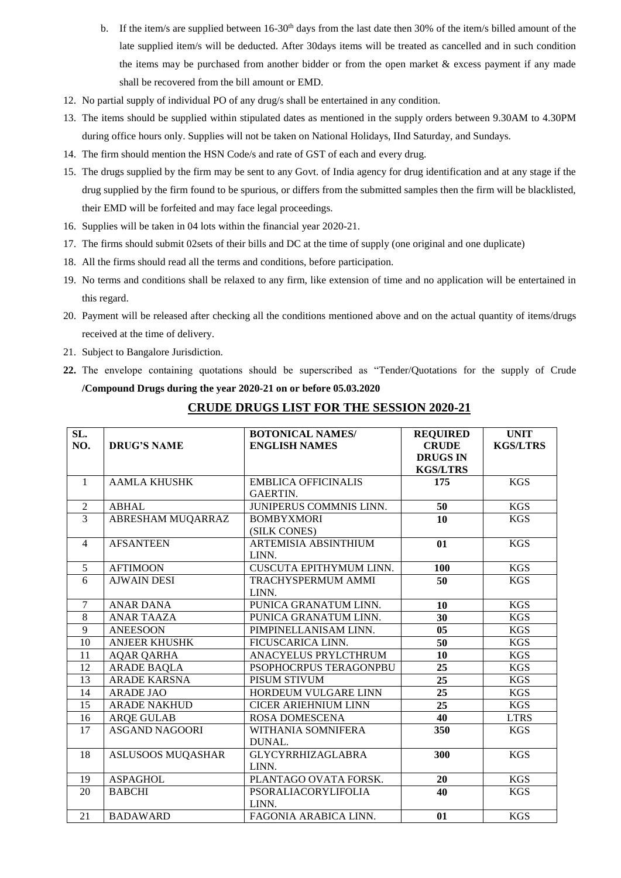- b. If the item/s are supplied between 16-30<sup>th</sup> days from the last date then 30% of the item/s billed amount of the late supplied item/s will be deducted. After 30days items will be treated as cancelled and in such condition the items may be purchased from another bidder or from the open market & excess payment if any made shall be recovered from the bill amount or EMD.
- 12. No partial supply of individual PO of any drug/s shall be entertained in any condition.
- 13. The items should be supplied within stipulated dates as mentioned in the supply orders between 9.30AM to 4.30PM during office hours only. Supplies will not be taken on National Holidays, IInd Saturday, and Sundays.
- 14. The firm should mention the HSN Code/s and rate of GST of each and every drug.
- 15. The drugs supplied by the firm may be sent to any Govt. of India agency for drug identification and at any stage if the drug supplied by the firm found to be spurious, or differs from the submitted samples then the firm will be blacklisted, their EMD will be forfeited and may face legal proceedings.
- 16. Supplies will be taken in 04 lots within the financial year 2020-21.
- 17. The firms should submit 02sets of their bills and DC at the time of supply (one original and one duplicate)
- 18. All the firms should read all the terms and conditions, before participation.
- 19. No terms and conditions shall be relaxed to any firm, like extension of time and no application will be entertained in this regard.
- 20. Payment will be released after checking all the conditions mentioned above and on the actual quantity of items/drugs received at the time of delivery.
- 21. Subject to Bangalore Jurisdiction.
- **22.** The envelope containing quotations should be superscribed as "Tender/Quotations for the supply of Crude **/Compound Drugs during the year 2020-21 on or before 05.03.2020**

| SL.            |                          | <b>BOTONICAL NAMES/</b>        | <b>REQUIRED</b> | <b>UNIT</b>     |
|----------------|--------------------------|--------------------------------|-----------------|-----------------|
| NO.            | <b>DRUG'S NAME</b>       | <b>ENGLISH NAMES</b>           | <b>CRUDE</b>    | <b>KGS/LTRS</b> |
|                |                          |                                | <b>DRUGS IN</b> |                 |
|                |                          |                                | <b>KGS/LTRS</b> |                 |
| $\mathbf{1}$   | <b>AAMLA KHUSHK</b>      | <b>EMBLICA OFFICINALIS</b>     | 175             | <b>KGS</b>      |
|                |                          | <b>GAERTIN.</b>                |                 |                 |
| $\overline{2}$ | <b>ABHAL</b>             | JUNIPERUS COMMNIS LINN.        | $\overline{50}$ | <b>KGS</b>      |
| $\overline{3}$ | ABRESHAM MUQARRAZ        | <b>BOMBYXMORI</b>              | 10              | <b>KGS</b>      |
|                |                          | (SILK CONES)                   |                 |                 |
| $\overline{4}$ | <b>AFSANTEEN</b>         | ARTEMISIA ABSINTHIUM           | 01              | <b>KGS</b>      |
|                |                          | LINN.                          |                 |                 |
| 5              | <b>AFTIMOON</b>          | <b>CUSCUTA EPITHYMUM LINN.</b> | 100             | <b>KGS</b>      |
| 6              | <b>AJWAIN DESI</b>       | TRACHYSPERMUM AMMI             | 50              | <b>KGS</b>      |
|                |                          | LINN.                          |                 |                 |
| $\overline{7}$ | <b>ANAR DANA</b>         | PUNICA GRANATUM LINN.          | 10              | <b>KGS</b>      |
| 8              | <b>ANAR TAAZA</b>        | PUNICA GRANATUM LINN.          | 30              | <b>KGS</b>      |
| 9              | <b>ANEESOON</b>          | PIMPINELLANISAM LINN.          | 05              | <b>KGS</b>      |
| 10             | <b>ANJEER KHUSHK</b>     | FICUSCARICA LINN.              | 50              | <b>KGS</b>      |
| 11             | <b>AQAR QARHA</b>        | ANACYELUS PRYLCTHRUM           | 10              | <b>KGS</b>      |
| 12             | <b>ARADE BAQLA</b>       | PSOPHOCRPUS TERAGONPBU         | 25              | <b>KGS</b>      |
| 13             | <b>ARADE KARSNA</b>      | PISUM STIVUM                   | 25              | KGS             |
| 14             | <b>ARADE JAO</b>         | HORDEUM VULGARE LINN           | $\overline{25}$ | <b>KGS</b>      |
| 15             | <b>ARADE NAKHUD</b>      | <b>CICER ARIEHNIUM LINN</b>    | $\overline{25}$ | <b>KGS</b>      |
| 16             | <b>ARQE GULAB</b>        | <b>ROSA DOMESCENA</b>          | 40              | <b>LTRS</b>     |
| 17             | <b>ASGAND NAGOORI</b>    | WITHANIA SOMNIFERA             | 350             | <b>KGS</b>      |
|                |                          | DUNAL.                         |                 |                 |
| 18             | <b>ASLUSOOS MUQASHAR</b> | <b>GLYCYRRHIZAGLABRA</b>       | 300             | <b>KGS</b>      |
|                |                          | LINN.                          |                 |                 |
| 19             | <b>ASPAGHOL</b>          | PLANTAGO OVATA FORSK.          | 20              | <b>KGS</b>      |
| 20             | <b>BABCHI</b>            | PSORALIACORYLIFOLIA            | 40              | <b>KGS</b>      |
|                |                          | LINN.                          |                 |                 |
| 21             | <b>BADAWARD</b>          | FAGONIA ARABICA LINN.          | 01              | <b>KGS</b>      |

## **CRUDE DRUGS LIST FOR THE SESSION 2020-21**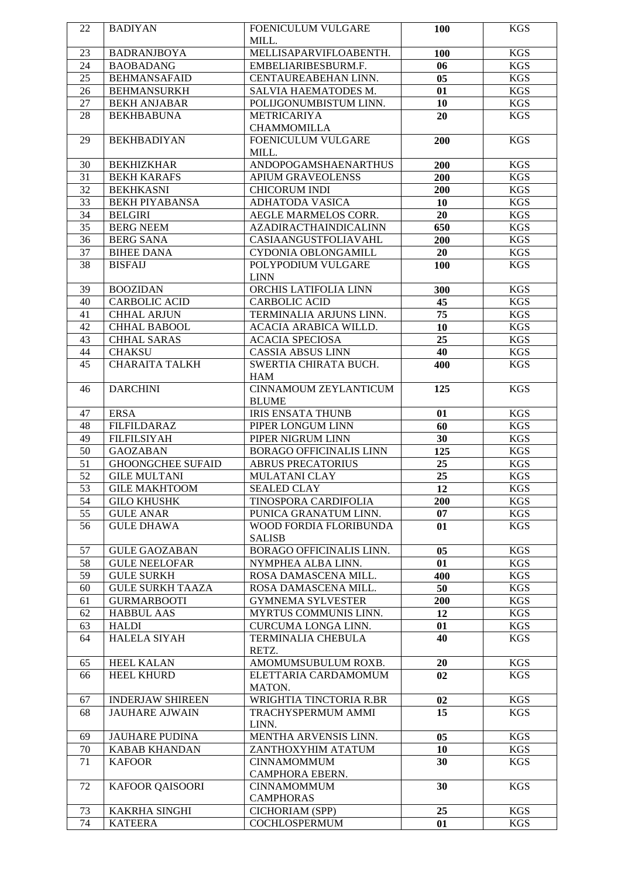| 22 | <b>BADIYAN</b>           | <b>FOENICULUM VULGARE</b>      | <b>100</b>     | <b>KGS</b> |
|----|--------------------------|--------------------------------|----------------|------------|
|    |                          | MILL.                          |                |            |
| 23 | <b>BADRANJBOYA</b>       | MELLISAPARVIFLOABENTH.         | 100            | <b>KGS</b> |
| 24 | <b>BAOBADANG</b>         | EMBELIARIBESBURM.F.            | 06             | <b>KGS</b> |
| 25 | <b>BEHMANSAFAID</b>      | CENTAUREABEHAN LINN.           | 0 <sub>5</sub> | <b>KGS</b> |
| 26 | <b>BEHMANSURKH</b>       | SALVIA HAEMATODES M.           | 01             | <b>KGS</b> |
| 27 | <b>BEKH ANJABAR</b>      | POLIJGONUMBISTUM LINN.         | 10             | <b>KGS</b> |
| 28 | <b>BEKHBABUNA</b>        | <b>METRICARIYA</b>             | 20             | <b>KGS</b> |
|    |                          | <b>CHAMMOMILLA</b>             |                |            |
| 29 | <b>BEKHBADIYAN</b>       | FOENICULUM VULGARE             | 200            | <b>KGS</b> |
|    |                          | MILL.                          |                |            |
| 30 | <b>BEKHIZKHAR</b>        | <b>ANDOPOGAMSHAENARTHUS</b>    | 200            | <b>KGS</b> |
| 31 | <b>BEKH KARAFS</b>       | <b>APIUM GRAVEOLENSS</b>       | 200            | <b>KGS</b> |
|    |                          |                                |                |            |
| 32 | <b>BEKHKASNI</b>         | <b>CHICORUM INDI</b>           | 200            | <b>KGS</b> |
| 33 | <b>BEKH PIYABANSA</b>    | <b>ADHATODA VASICA</b>         | 10             | <b>KGS</b> |
| 34 | <b>BELGIRI</b>           | AEGLE MARMELOS CORR.           | 20             | <b>KGS</b> |
| 35 | <b>BERG NEEM</b>         | <b>AZADIRACTHAINDICALINN</b>   | 650            | <b>KGS</b> |
| 36 | <b>BERG SANA</b>         | CASIAANGUSTFOLIAVAHL           | 200            | <b>KGS</b> |
| 37 | <b>BIHEE DANA</b>        | CYDONIA OBLONGAMILL            | 20             | <b>KGS</b> |
| 38 | <b>BISFAIJ</b>           | POLYPODIUM VULGARE             | 100            | <b>KGS</b> |
|    |                          | <b>LINN</b>                    |                |            |
| 39 | <b>BOOZIDAN</b>          | ORCHIS LATIFOLIA LINN          | 300            | <b>KGS</b> |
| 40 | <b>CARBOLIC ACID</b>     | <b>CARBOLIC ACID</b>           | 45             | <b>KGS</b> |
| 41 | <b>CHHAL ARJUN</b>       | TERMINALIA ARJUNS LINN.        | 75             | <b>KGS</b> |
| 42 | <b>CHHAL BABOOL</b>      | ACACIA ARABICA WILLD.          | 10             | <b>KGS</b> |
| 43 | <b>CHHAL SARAS</b>       | <b>ACACIA SPECIOSA</b>         | 25             | KGS        |
| 44 | <b>CHAKSU</b>            | <b>CASSIA ABSUS LINN</b>       | 40             | KGS        |
| 45 | <b>CHARAITA TALKH</b>    | SWERTIA CHIRATA BUCH.          | 400            | <b>KGS</b> |
|    |                          | <b>HAM</b>                     |                |            |
| 46 | <b>DARCHINI</b>          | <b>CINNAMOUM ZEYLANTICUM</b>   | 125            | <b>KGS</b> |
|    |                          | <b>BLUME</b>                   |                |            |
| 47 | <b>ERSA</b>              | <b>IRIS ENSATA THUNB</b>       |                | <b>KGS</b> |
| 48 | <b>FILFILDARAZ</b>       | PIPER LONGUM LINN              | 01             | <b>KGS</b> |
| 49 | <b>FILFILSIYAH</b>       | PIPER NIGRUM LINN              | 60<br>30       | <b>KGS</b> |
|    | <b>GAOZABAN</b>          |                                |                |            |
| 50 |                          | <b>BORAGO OFFICINALIS LINN</b> | 125            | <b>KGS</b> |
| 51 | <b>GHOONGCHEE SUFAID</b> | <b>ABRUS PRECATORIUS</b>       | 25             | <b>KGS</b> |
| 52 | <b>GILE MULTANI</b>      | <b>MULATANI CLAY</b>           | 25             | <b>KGS</b> |
| 53 | <b>GILE MAKHTOOM</b>     | <b>SEALED CLAY</b>             | 12             | <b>KGS</b> |
| 54 | <b>GILO KHUSHK</b>       | TINOSPORA CARDIFOLIA           | <b>200</b>     | <b>KGS</b> |
| 55 | <b>GULE ANAR</b>         | PUNICA GRANATUM LINN.          | 07             | <b>KGS</b> |
| 56 | <b>GULE DHAWA</b>        | WOOD FORDIA FLORIBUNDA         | 01             | <b>KGS</b> |
|    |                          | <b>SALISB</b>                  |                |            |
| 57 | <b>GULE GAOZABAN</b>     | BORAGO OFFICINALIS LINN.       | 05             | <b>KGS</b> |
| 58 | <b>GULE NEELOFAR</b>     | NYMPHEA ALBA LINN.             | 01             | <b>KGS</b> |
| 59 | <b>GULE SURKH</b>        | ROSA DAMASCENA MILL.           | 400            | KGS        |
| 60 | <b>GULE SURKH TAAZA</b>  | ROSA DAMASCENA MILL.           | 50             | KGS        |
| 61 | <b>GURMARBOOTI</b>       | <b>GYMNEMA SYLVESTER</b>       | 200            | <b>KGS</b> |
| 62 | <b>HABBUL AAS</b>        | MYRTUS COMMUNIS LINN.          | 12             | <b>KGS</b> |
| 63 | <b>HALDI</b>             | CURCUMA LONGA LINN.            | 01             | KGS        |
| 64 | HALELA SIYAH             | <b>TERMINALIA CHEBULA</b>      | 40             | <b>KGS</b> |
|    |                          | RETZ.                          |                |            |
| 65 | <b>HEEL KALAN</b>        | AMOMUMSUBULUM ROXB.            | 20             | <b>KGS</b> |
| 66 | <b>HEEL KHURD</b>        | ELETTARIA CARDAMOMUM           | 02             | <b>KGS</b> |
|    |                          | MATON.                         |                |            |
| 67 | <b>INDERJAW SHIREEN</b>  | WRIGHTIA TINCTORIA R.BR        | 02             | <b>KGS</b> |
| 68 | <b>JAUHARE AJWAIN</b>    | TRACHYSPERMUM AMMI             | 15             | <b>KGS</b> |
|    |                          | LINN.                          |                |            |
| 69 | <b>JAUHARE PUDINA</b>    | MENTHA ARVENSIS LINN.          | 05             | <b>KGS</b> |
| 70 | <b>KABAB KHANDAN</b>     | ZANTHOXYHIM ATATUM             | 10             | KGS        |
| 71 | <b>KAFOOR</b>            | <b>CINNAMOMMUM</b>             | 30             | <b>KGS</b> |
|    |                          | CAMPHORA EBERN.                |                |            |
| 72 | <b>KAFOOR QAISOORI</b>   | <b>CINNAMOMMUM</b>             | 30             | <b>KGS</b> |
|    |                          | <b>CAMPHORAS</b>               |                |            |
| 73 | KAKRHA SINGHI            | CICHORIAM (SPP)                | 25             | <b>KGS</b> |
| 74 | <b>KATEERA</b>           | COCHLOSPERMUM                  | 01             | <b>KGS</b> |
|    |                          |                                |                |            |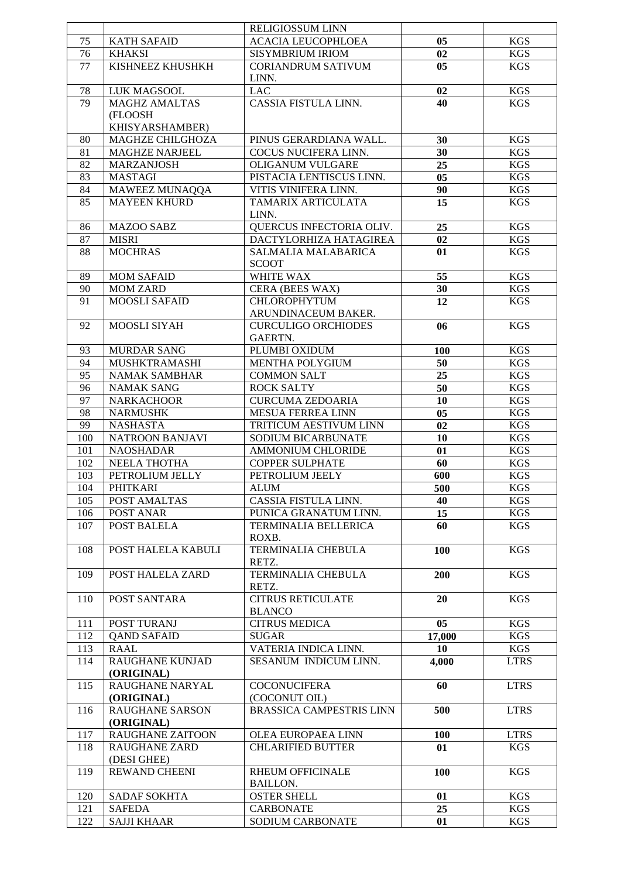|     |                         | RELIGIOSSUM LINN           |                |             |
|-----|-------------------------|----------------------------|----------------|-------------|
| 75  | <b>KATH SAFAID</b>      | <b>ACACIA LEUCOPHLOEA</b>  | 05             | <b>KGS</b>  |
| 76  | <b>KHAKSI</b>           | <b>SISYMBRIUM IRIOM</b>    | 02             | <b>KGS</b>  |
| 77  | KISHNEEZ KHUSHKH        | <b>CORIANDRUM SATIVUM</b>  | 05             | KGS         |
|     |                         | LINN.                      |                |             |
|     |                         |                            |                |             |
| 78  | LUK MAGSOOL             | <b>LAC</b>                 | 02             | <b>KGS</b>  |
| 79  | MAGHZ AMALTAS           | CASSIA FISTULA LINN.       | 40             | KGS         |
|     | (FLOOSH                 |                            |                |             |
|     | KHISYARSHAMBER)         |                            |                |             |
| 80  | MAGHZE CHILGHOZA        | PINUS GERARDIANA WALL.     | 30             | <b>KGS</b>  |
| 81  | <b>MAGHZE NARJEEL</b>   | COCUS NUCIFERA LINN.       | 30             | <b>KGS</b>  |
| 82  | MARZANJOSH              | OLIGANUM VULGARE           | 25             | <b>KGS</b>  |
| 83  | <b>MASTAGI</b>          | PISTACIA LENTISCUS LINN.   | 0 <sub>5</sub> | <b>KGS</b>  |
| 84  | MAWEEZ MUNAQQA          | VITIS VINIFERA LINN.       | 90             | <b>KGS</b>  |
| 85  | <b>MAYEEN KHURD</b>     | TAMARIX ARTICULATA         | 15             | <b>KGS</b>  |
|     |                         | LINN.                      |                |             |
|     |                         |                            |                |             |
| 86  | <b>MAZOO SABZ</b>       | QUERCUS INFECTORIA OLIV.   | 25             | <b>KGS</b>  |
| 87  | <b>MISRI</b>            | DACTYLORHIZA HATAGIREA     | 02             | <b>KGS</b>  |
| 88  | <b>MOCHRAS</b>          | SALMALIA MALABARICA        | 01             | <b>KGS</b>  |
|     |                         | <b>SCOOT</b>               |                |             |
| 89  | <b>MOM SAFAID</b>       | WHITE WAX                  | 55             | <b>KGS</b>  |
| 90  | <b>MOM ZARD</b>         | CERA (BEES WAX)            | 30             | <b>KGS</b>  |
| 91  | <b>MOOSLI SAFAID</b>    | <b>CHLOROPHYTUM</b>        | 12             | <b>KGS</b>  |
|     |                         | ARUNDINACEUM BAKER.        |                |             |
| 92  | MOOSLI SIYAH            | <b>CURCULIGO ORCHIODES</b> | 06             | <b>KGS</b>  |
|     |                         | GAERTN.                    |                |             |
| 93  | <b>MURDAR SANG</b>      | PLUMBI OXIDUM              |                | KGS         |
|     |                         |                            | 100            |             |
| 94  | MUSHKTRAMASHI           | <b>MENTHA POLYGIUM</b>     | 50             | <b>KGS</b>  |
| 95  | <b>NAMAK SAMBHAR</b>    | <b>COMMON SALT</b>         | 25             | <b>KGS</b>  |
| 96  | <b>NAMAK SANG</b>       | <b>ROCK SALTY</b>          | 50             | <b>KGS</b>  |
| 97  | <b>NARKACHOOR</b>       | <b>CURCUMA ZEDOARIA</b>    | 10             | <b>KGS</b>  |
| 98  | <b>NARMUSHK</b>         | <b>MESUA FERREA LINN</b>   | 05             | <b>KGS</b>  |
| 99  | <b>NASHASTA</b>         | TRITICUM AESTIVUM LINN     | 02             | <b>KGS</b>  |
| 100 | <b>NATROON BANJAVI</b>  | SODIUM BICARBUNATE         | 10             | <b>KGS</b>  |
| 101 | <b>NAOSHADAR</b>        | <b>AMMONIUM CHLORIDE</b>   | 01             | <b>KGS</b>  |
| 102 | NEELA THOTHA            | <b>COPPER SULPHATE</b>     | 60             | <b>KGS</b>  |
|     | PETROLIUM JELLY         | PETROLIUM JEELY            | 600            | <b>KGS</b>  |
| 103 |                         |                            |                |             |
| 104 | <b>PHITKARI</b>         | <b>ALUM</b>                | 500            | <b>KGS</b>  |
| 105 | POST AMALTAS            | CASSIA FISTULA LINN.       | 40             | <b>KGS</b>  |
| 106 | POST ANAR               | PUNICA GRANATUM LINN.      | 15             | <b>KGS</b>  |
| 107 | POST BALELA             | TERMINALIA BELLERICA       | 60             | <b>KGS</b>  |
|     |                         | ROXB.                      |                |             |
| 108 | POST HALELA KABULI      | TERMINALIA CHEBULA         | 100            | <b>KGS</b>  |
|     |                         | RETZ.                      |                |             |
| 109 | POST HALELA ZARD        | <b>TERMINALIA CHEBULA</b>  | 200            | <b>KGS</b>  |
|     |                         | RETZ.                      |                |             |
| 110 | POST SANTARA            | <b>CITRUS RETICULATE</b>   | 20             | <b>KGS</b>  |
|     |                         | <b>BLANCO</b>              |                |             |
|     |                         | <b>CITRUS MEDICA</b>       |                |             |
| 111 | POST TURANJ             |                            | 05             | <b>KGS</b>  |
| 112 | <b>QAND SAFAID</b>      | <b>SUGAR</b>               | 17,000         | <b>KGS</b>  |
| 113 | <b>RAAL</b>             | VATERIA INDICA LINN.       | 10             | KGS         |
| 114 | <b>RAUGHANE KUNJAD</b>  | SESANUM INDICUM LINN.      | 4,000          | <b>LTRS</b> |
|     | (ORIGINAL)              |                            |                |             |
| 115 | RAUGHANE NARYAL         | <b>COCONUCIFERA</b>        | 60             | <b>LTRS</b> |
|     | (ORIGINAL)              | (COCONUT OIL)              |                |             |
| 116 | <b>RAUGHANE SARSON</b>  | BRASSICA CAMPESTRIS LINN   | 500            | <b>LTRS</b> |
|     | (ORIGINAL)              |                            |                |             |
| 117 | <b>RAUGHANE ZAITOON</b> | OLEA EUROPAEA LINN         | 100            | <b>LTRS</b> |
| 118 | <b>RAUGHANE ZARD</b>    | <b>CHLARIFIED BUTTER</b>   | 01             | KGS         |
|     | (DESI GHEE)             |                            |                |             |
|     |                         |                            |                |             |
| 119 | <b>REWAND CHEENI</b>    | <b>RHEUM OFFICINALE</b>    | 100            | <b>KGS</b>  |
|     |                         | <b>BAILLON.</b>            |                |             |
| 120 | <b>SADAF SOKHTA</b>     | <b>OSTER SHELL</b>         | 01             | <b>KGS</b>  |
| 121 | <b>SAFEDA</b>           | <b>CARBONATE</b>           | 25             | KGS         |
| 122 | <b>SAJJI KHAAR</b>      | SODIUM CARBONATE           | 01             | <b>KGS</b>  |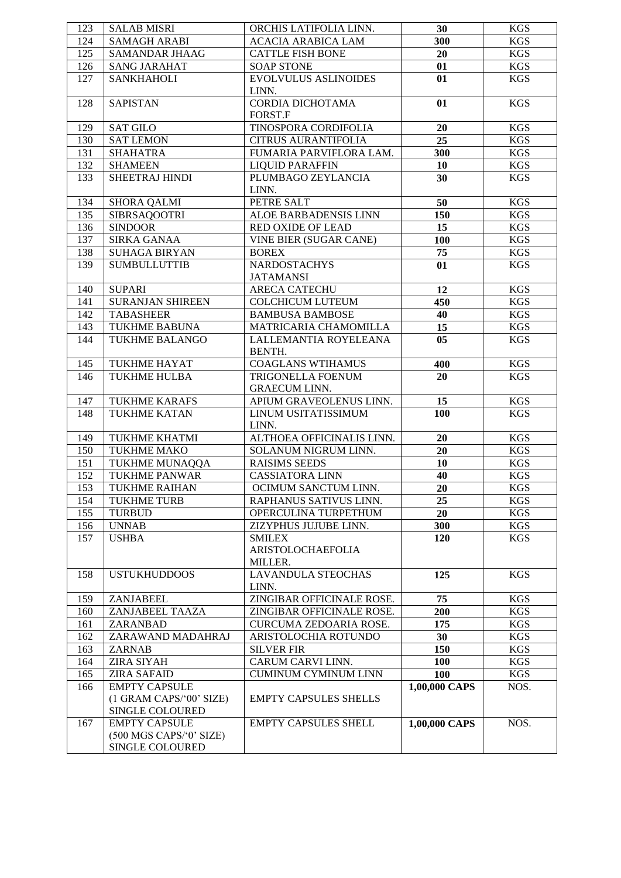| 123 | <b>SALAB MISRI</b>      | ORCHIS LATIFOLIA LINN.          | 30              | <b>KGS</b> |
|-----|-------------------------|---------------------------------|-----------------|------------|
| 124 | <b>SAMAGH ARABI</b>     | <b>ACACIA ARABICA LAM</b>       | 300             | <b>KGS</b> |
| 125 | <b>SAMANDAR JHAAG</b>   | <b>CATTLE FISH BONE</b>         | 20              | <b>KGS</b> |
| 126 | <b>SANG JARAHAT</b>     | <b>SOAP STONE</b>               | 01              | <b>KGS</b> |
| 127 | <b>SANKHAHOLI</b>       | EVOLVULUS ASLINOIDES            | 01              | <b>KGS</b> |
|     |                         | LINN.                           |                 |            |
| 128 | <b>SAPISTAN</b>         | CORDIA DICHOTAMA                | 01              | <b>KGS</b> |
|     |                         | FORST.F                         |                 |            |
| 129 | <b>SAT GILO</b>         | TINOSPORA CORDIFOLIA            | 20              | <b>KGS</b> |
| 130 | <b>SAT LEMON</b>        | <b>CITRUS AURANTIFOLIA</b>      | $\overline{25}$ | <b>KGS</b> |
| 131 | <b>SHAHATRA</b>         | FUMARIA PARVIFLORA LAM.         | 300             | <b>KGS</b> |
| 132 | <b>SHAMEEN</b>          | <b>LIQUID PARAFFIN</b>          | 10              | <b>KGS</b> |
| 133 | SHEETRAJ HINDI          | PLUMBAGO ZEYLANCIA              | 30              | <b>KGS</b> |
|     |                         | LINN.                           |                 |            |
| 134 | <b>SHORA QALMI</b>      | PETRE SALT                      | 50              | <b>KGS</b> |
| 135 | <b>SIBRSAQOOTRI</b>     | ALOE BARBADENSIS LINN           | 150             | <b>KGS</b> |
| 136 | <b>SINDOOR</b>          | <b>RED OXIDE OF LEAD</b>        | 15              | <b>KGS</b> |
| 137 | <b>SIRKA GANAA</b>      | <b>VINE BIER (SUGAR CANE)</b>   | 100             | <b>KGS</b> |
| 138 | <b>SUHAGA BIRYAN</b>    | <b>BOREX</b>                    | 75              | <b>KGS</b> |
| 139 | <b>SUMBULLUTTIB</b>     | <b>NARDOSTACHYS</b>             | 01              | <b>KGS</b> |
|     |                         | <b>JATAMANSI</b>                |                 |            |
| 140 | <b>SUPARI</b>           | <b>ARECA CATECHU</b>            | 12              | <b>KGS</b> |
| 141 | <b>SURANJAN SHIREEN</b> | <b>COLCHICUM LUTEUM</b>         | 450             | <b>KGS</b> |
| 142 | <b>TABASHEER</b>        | <b>BAMBUSA BAMBOSE</b>          | 40              | <b>KGS</b> |
| 143 | <b>TUKHME BABUNA</b>    | MATRICARIA CHAMOMILLA           | 15              | <b>KGS</b> |
| 144 | <b>TUKHME BALANGO</b>   | LALLEMANTIA ROYELEANA<br>BENTH. | 05              | <b>KGS</b> |
| 145 | TUKHME HAYAT            | <b>COAGLANS WTIHAMUS</b>        | 400             | <b>KGS</b> |
| 146 | TUKHME HULBA            | TRIGONELLA FOENUM               | 20              | <b>KGS</b> |
|     |                         | <b>GRAECUM LINN.</b>            |                 |            |
| 147 | <b>TUKHME KARAFS</b>    | APIUM GRAVEOLENUS LINN.         | 15              | <b>KGS</b> |
| 148 | <b>TUKHME KATAN</b>     | LINUM USITATISSIMUM             | 100             | <b>KGS</b> |
|     |                         | LINN.                           |                 |            |
| 149 | <b>TUKHME KHATMI</b>    | ALTHOEA OFFICINALIS LINN.       | 20              | <b>KGS</b> |
| 150 | <b>TUKHME MAKO</b>      | SOLANUM NIGRUM LINN.            | 20              | <b>KGS</b> |
| 151 | TUKHME MUNAQQA          | <b>RAISIMS SEEDS</b>            | 10              | <b>KGS</b> |
| 152 | <b>TUKHME PANWAR</b>    | <b>CASSIATORA LINN</b>          | 40              | <b>KGS</b> |
| 153 | <b>TUKHME RAIHAN</b>    | OCIMUM SANCTUM LINN.            | 20              | <b>KGS</b> |
| 154 | <b>TUKHME TURB</b>      | RAPHANUS SATIVUS LINN.          | 25              | <b>KGS</b> |
| 155 | <b>TURBUD</b>           | OPERCULINA TURPETHUM            | 20              | <b>KGS</b> |
| 156 | <b>UNNAB</b>            | ZIZYPHUS JUJUBE LINN.           | 300             | <b>KGS</b> |
| 157 | <b>USHBA</b>            | <b>SMILEX</b>                   | 120             | <b>KGS</b> |
|     |                         | ARISTOLOCHAEFOLIA               |                 |            |
|     |                         | MILLER.                         |                 |            |
| 158 | <b>USTUKHUDDOOS</b>     | <b>LAVANDULA STEOCHAS</b>       | 125             | <b>KGS</b> |
|     |                         | LINN.                           |                 |            |
| 159 | <b>ZANJABEEL</b>        | ZINGIBAR OFFICINALE ROSE.       | 75              | <b>KGS</b> |
| 160 | ZANJABEEL TAAZA         | ZINGIBAR OFFICINALE ROSE.       | 200             | <b>KGS</b> |
| 161 | ZARANBAD                | CURCUMA ZEDOARIA ROSE.          | 175             | <b>KGS</b> |
| 162 | ZARAWAND MADAHRAJ       | ARISTOLOCHIA ROTUNDO            | 30              | <b>KGS</b> |
| 163 | <b>ZARNAB</b>           | <b>SILVER FIR</b>               | 150             | <b>KGS</b> |
| 164 | <b>ZIRA SIYAH</b>       | CARUM CARVI LINN.               | 100             | <b>KGS</b> |
| 165 | <b>ZIRA SAFAID</b>      | <b>CUMINUM CYMINUM LINN</b>     | <b>100</b>      | <b>KGS</b> |
| 166 | <b>EMPTY CAPSULE</b>    |                                 | 1,00,000 CAPS   | NOS.       |
|     | (1 GRAM CAPS/'00' SIZE) | <b>EMPTY CAPSULES SHELLS</b>    |                 |            |
|     | SINGLE COLOURED         |                                 |                 |            |
| 167 | <b>EMPTY CAPSULE</b>    | <b>EMPTY CAPSULES SHELL</b>     | 1,00,000 CAPS   | NOS.       |
|     | (500 MGS CAPS/°0' SIZE) |                                 |                 |            |
|     | SINGLE COLOURED         |                                 |                 |            |